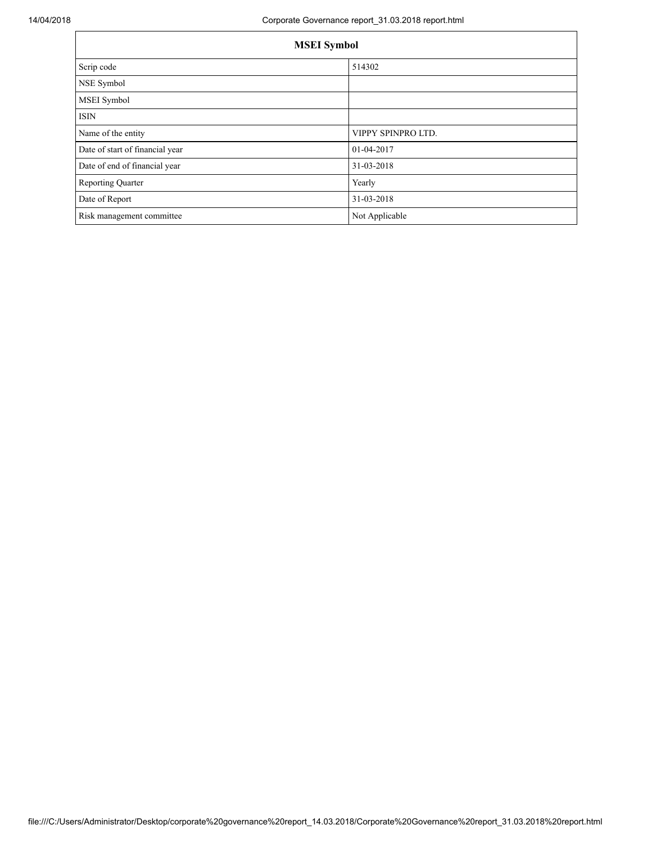| <b>MSEI</b> Symbol              |                    |  |  |
|---------------------------------|--------------------|--|--|
| Scrip code                      | 514302             |  |  |
| NSE Symbol                      |                    |  |  |
| MSEI Symbol                     |                    |  |  |
| <b>ISIN</b>                     |                    |  |  |
| Name of the entity              | VIPPY SPINPRO LTD. |  |  |
| Date of start of financial year | 01-04-2017         |  |  |
| Date of end of financial year   | 31-03-2018         |  |  |
| <b>Reporting Quarter</b>        | Yearly             |  |  |
| Date of Report                  | 31-03-2018         |  |  |
| Risk management committee       | Not Applicable     |  |  |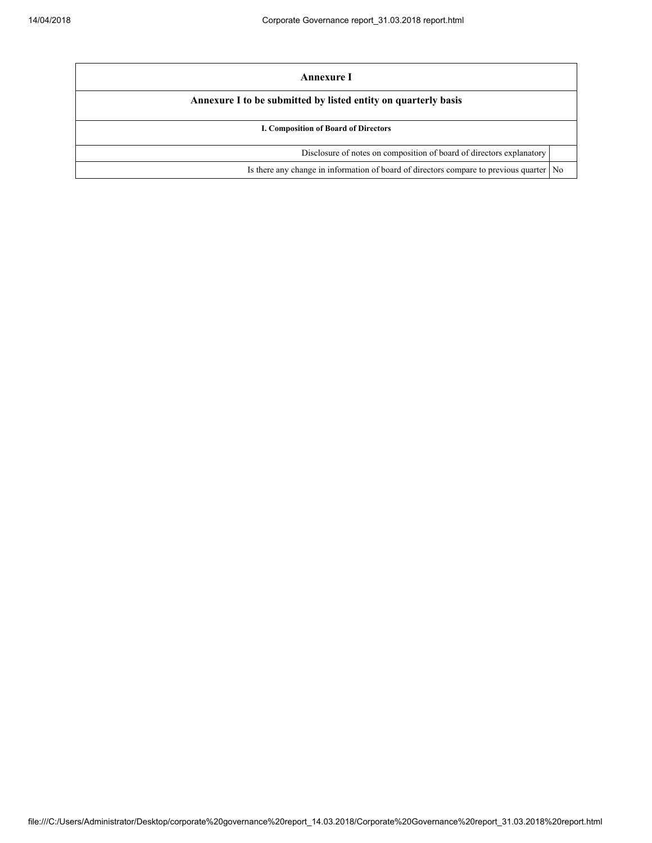| Annexure I                                                                                |  |
|-------------------------------------------------------------------------------------------|--|
| Annexure I to be submitted by listed entity on quarterly basis                            |  |
| <b>I. Composition of Board of Directors</b>                                               |  |
| Disclosure of notes on composition of board of directors explanatory                      |  |
| Is there any change in information of board of directors compare to previous quarter   No |  |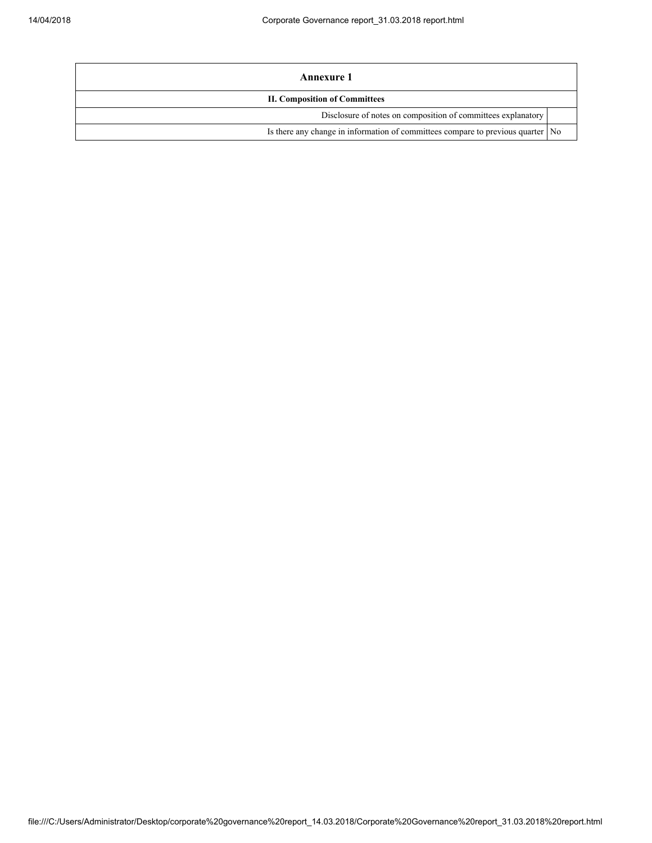| Annexure 1                                                                        |  |  |
|-----------------------------------------------------------------------------------|--|--|
| <b>II. Composition of Committees</b>                                              |  |  |
| Disclosure of notes on composition of committees explanatory                      |  |  |
| Is there any change in information of committees compare to previous quarter   No |  |  |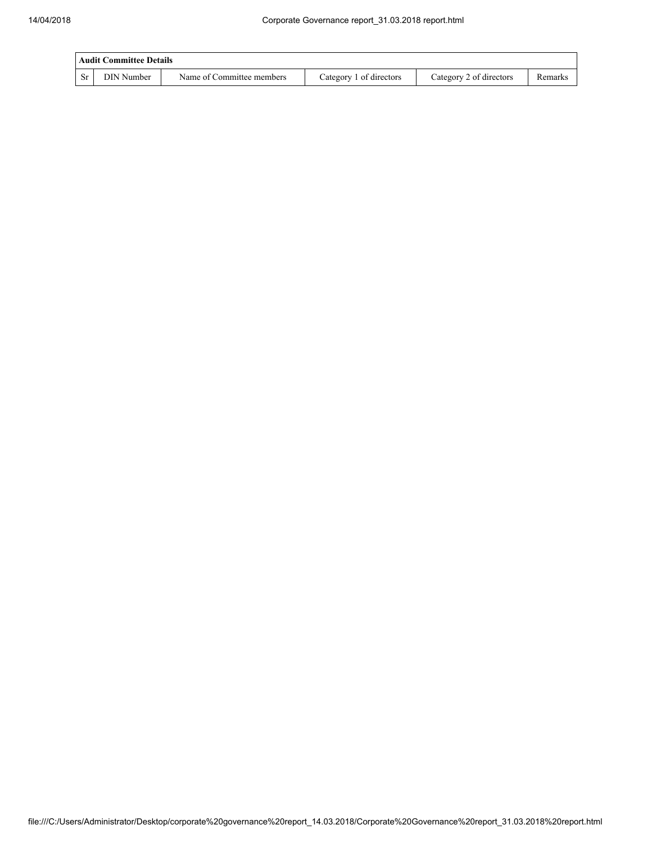| Audit Committee Details |            |                           |                         |                         |         |  |
|-------------------------|------------|---------------------------|-------------------------|-------------------------|---------|--|
| <b>Sr</b>               | DIN Number | Name of Committee members | Category 1 of directors | Category 2 of directors | Remarks |  |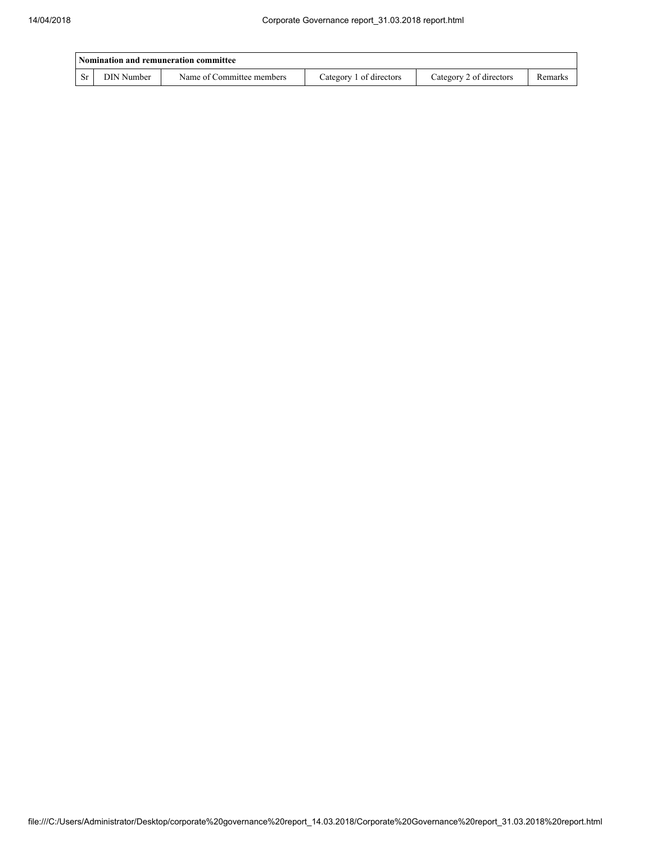|           | Nomination and remuneration committee |                           |                         |                         |         |  |  |
|-----------|---------------------------------------|---------------------------|-------------------------|-------------------------|---------|--|--|
| <b>Sr</b> | DIN Number                            | Name of Committee members | Category 1 of directors | Category 2 of directors | Remarks |  |  |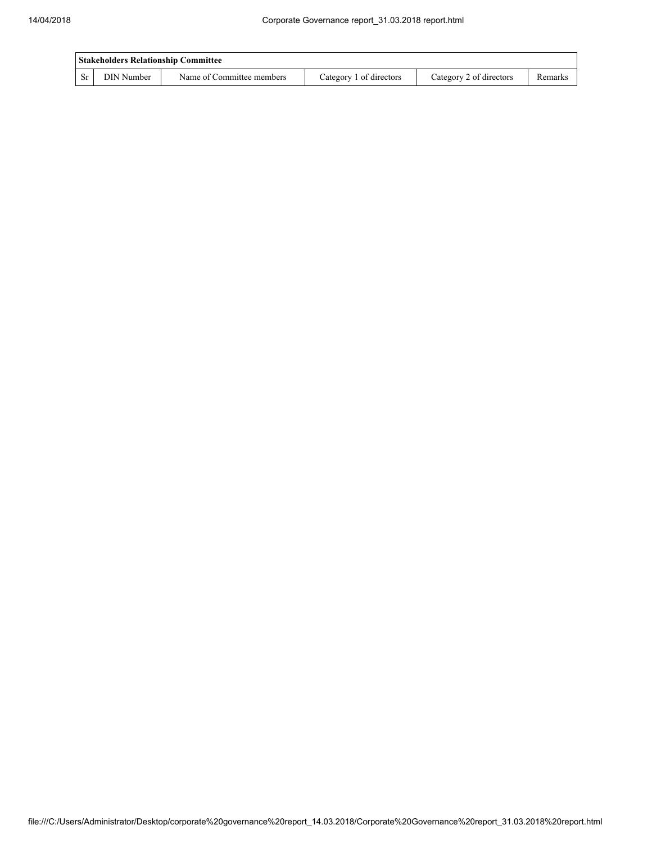| <b>Stakeholders Relationship Committee</b> |            |                           |                         |                         |         |  |
|--------------------------------------------|------------|---------------------------|-------------------------|-------------------------|---------|--|
| <b>Sr</b>                                  | DIN Number | Name of Committee members | Category 1 of directors | Category 2 of directors | Remarks |  |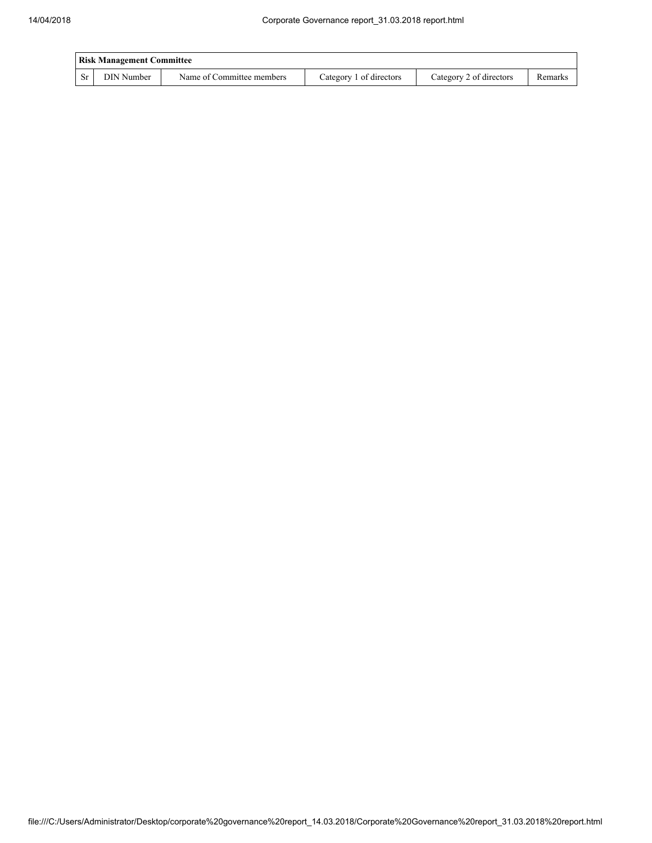| <b>Risk Management Committee</b> |            |                           |                         |                         |         |  |
|----------------------------------|------------|---------------------------|-------------------------|-------------------------|---------|--|
| -Sr                              | DIN Number | Name of Committee members | Category 1 of directors | Category 2 of directors | Remarks |  |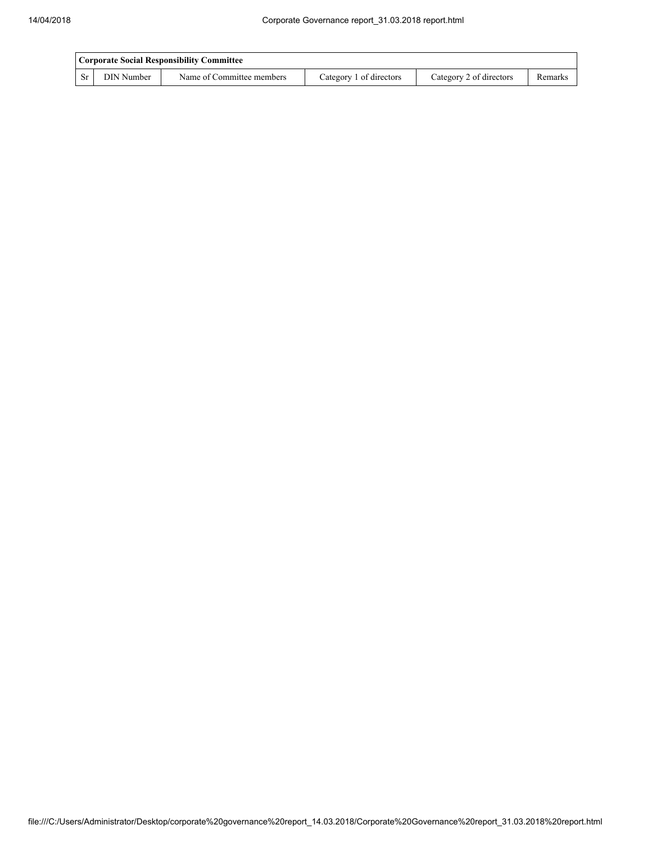|     | Corporate Social Responsibility Committee |                           |                         |                         |         |  |
|-----|-------------------------------------------|---------------------------|-------------------------|-------------------------|---------|--|
| -Sr | DIN Number                                | Name of Committee members | Category 1 of directors | Category 2 of directors | Remarks |  |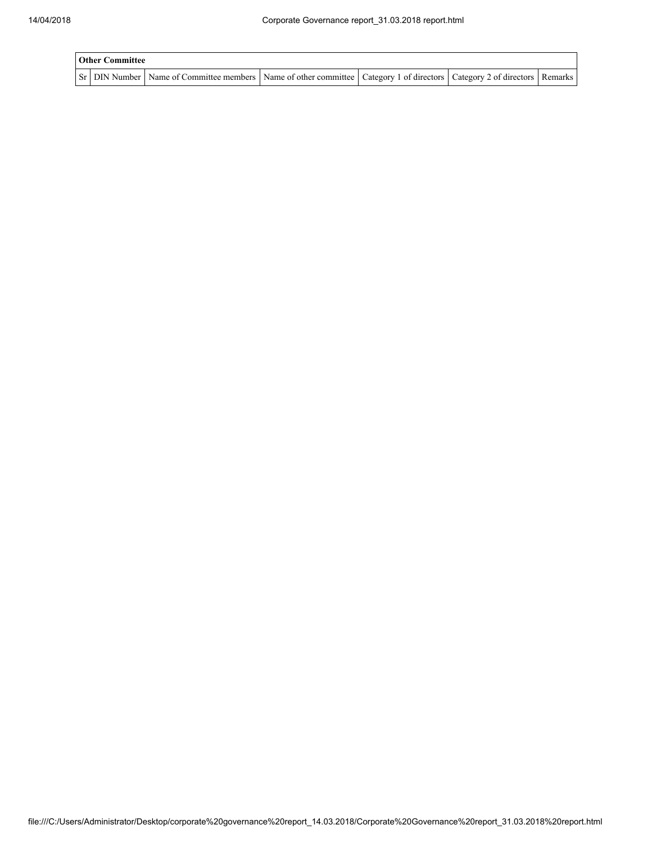| <b>Other Committee</b> |  |                                                                                                                                     |  |  |  |  |
|------------------------|--|-------------------------------------------------------------------------------------------------------------------------------------|--|--|--|--|
|                        |  | Sr   DIN Number   Name of Committee members   Name of other committee   Category 1 of directors   Category 2 of directors   Remarks |  |  |  |  |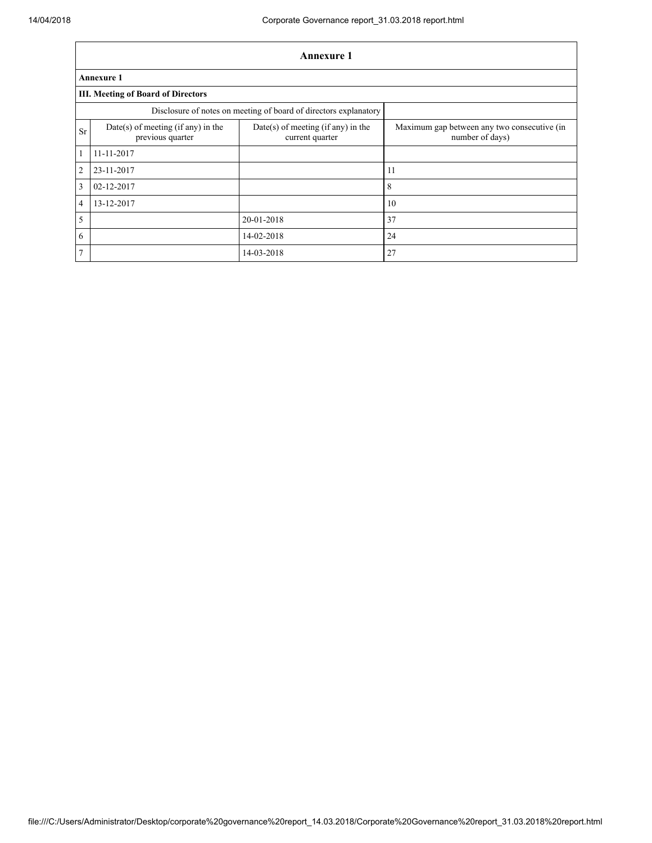|                | Annexure 1                                             |                                                                  |                                                                |  |  |  |  |  |
|----------------|--------------------------------------------------------|------------------------------------------------------------------|----------------------------------------------------------------|--|--|--|--|--|
|                | <b>Annexure 1</b>                                      |                                                                  |                                                                |  |  |  |  |  |
|                | <b>III. Meeting of Board of Directors</b>              |                                                                  |                                                                |  |  |  |  |  |
|                |                                                        | Disclosure of notes on meeting of board of directors explanatory |                                                                |  |  |  |  |  |
| <b>Sr</b>      | Date(s) of meeting (if any) in the<br>previous quarter | $Date(s)$ of meeting (if any) in the<br>current quarter          | Maximum gap between any two consecutive (in<br>number of days) |  |  |  |  |  |
| 1              | 11-11-2017                                             |                                                                  |                                                                |  |  |  |  |  |
| $\overline{2}$ | 23-11-2017                                             |                                                                  | 11                                                             |  |  |  |  |  |
| 3              | 02-12-2017                                             |                                                                  | 8                                                              |  |  |  |  |  |
| $\overline{4}$ | 13-12-2017                                             |                                                                  | 10                                                             |  |  |  |  |  |
| 5              |                                                        | 20-01-2018                                                       | 37                                                             |  |  |  |  |  |
| 6              |                                                        | 14-02-2018                                                       | 24                                                             |  |  |  |  |  |
| 7              |                                                        | 14-03-2018                                                       | 27                                                             |  |  |  |  |  |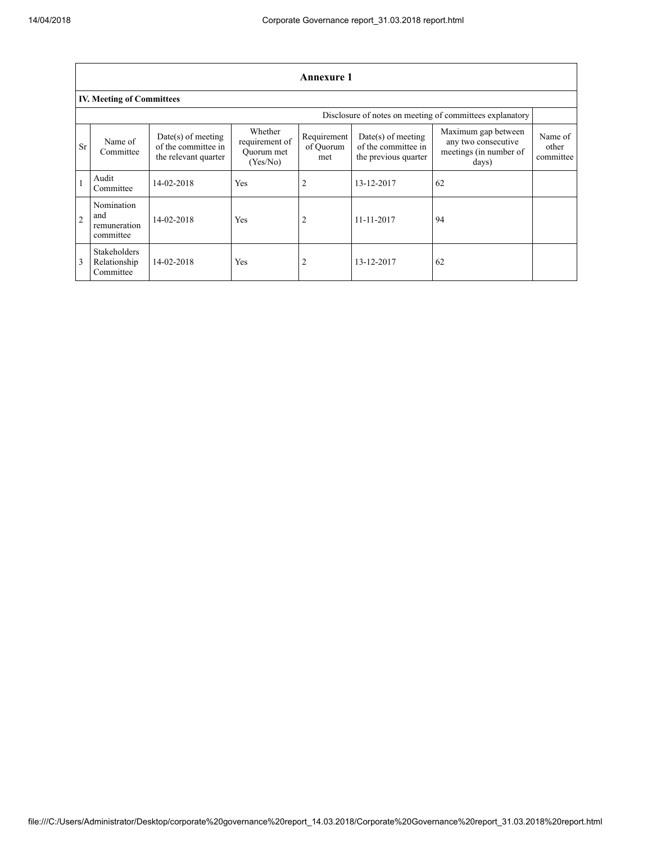|                                                          | <b>Annexure 1</b>                                |                                                                     |                                                     |                                 |                                                                     |                                                                               |                               |  |  |
|----------------------------------------------------------|--------------------------------------------------|---------------------------------------------------------------------|-----------------------------------------------------|---------------------------------|---------------------------------------------------------------------|-------------------------------------------------------------------------------|-------------------------------|--|--|
|                                                          | <b>IV. Meeting of Committees</b>                 |                                                                     |                                                     |                                 |                                                                     |                                                                               |                               |  |  |
| Disclosure of notes on meeting of committees explanatory |                                                  |                                                                     |                                                     |                                 |                                                                     |                                                                               |                               |  |  |
| <b>Sr</b>                                                | Name of<br>Committee                             | $Date(s)$ of meeting<br>of the committee in<br>the relevant quarter | Whether<br>requirement of<br>Ouorum met<br>(Yes/No) | Requirement<br>of Ouorum<br>met | $Date(s)$ of meeting<br>of the committee in<br>the previous quarter | Maximum gap between<br>any two consecutive<br>meetings (in number of<br>days) | Name of<br>other<br>committee |  |  |
|                                                          | Audit<br>Committee                               | 14-02-2018                                                          | Yes                                                 |                                 | 13-12-2017                                                          | 62                                                                            |                               |  |  |
| $\overline{2}$                                           | Nomination<br>and<br>remuneration<br>committee   | 14-02-2018                                                          | <b>Yes</b>                                          |                                 | $11 - 11 - 2017$                                                    | 94                                                                            |                               |  |  |
| $\overline{3}$                                           | <b>Stakeholders</b><br>Relationship<br>Committee | 14-02-2018                                                          | Yes                                                 | 2                               | 13-12-2017                                                          | 62                                                                            |                               |  |  |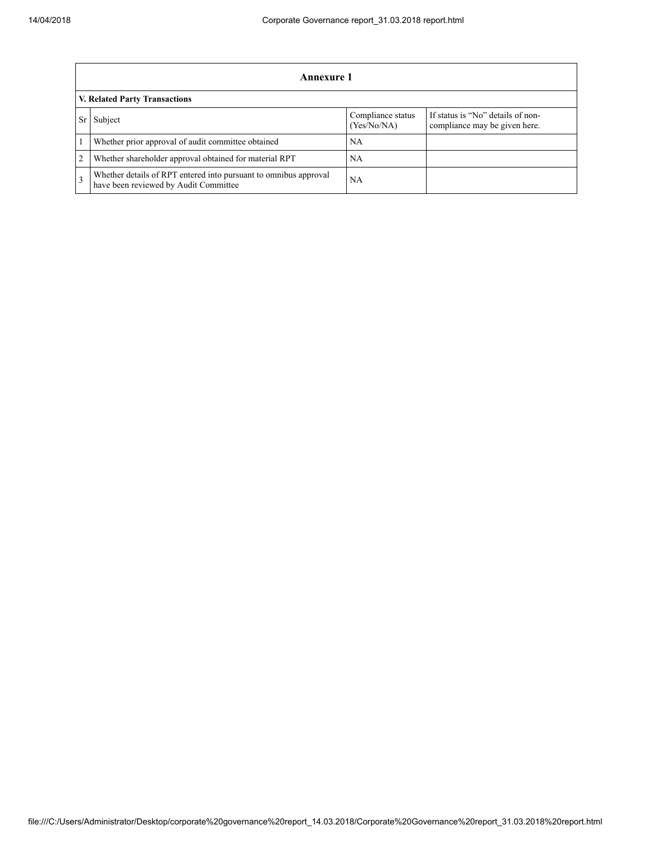|                | Annexure 1                                                                                                |                                  |                                                                    |  |  |  |
|----------------|-----------------------------------------------------------------------------------------------------------|----------------------------------|--------------------------------------------------------------------|--|--|--|
|                | V. Related Party Transactions                                                                             |                                  |                                                                    |  |  |  |
|                | Subject                                                                                                   | Compliance status<br>(Yes/No/NA) | If status is "No" details of non-<br>compliance may be given here. |  |  |  |
|                | Whether prior approval of audit committee obtained                                                        | NA                               |                                                                    |  |  |  |
| $\overline{2}$ | Whether shareholder approval obtained for material RPT                                                    | NA                               |                                                                    |  |  |  |
| $\mathcal{F}$  | Whether details of RPT entered into pursuant to omnibus approval<br>have been reviewed by Audit Committee | <b>NA</b>                        |                                                                    |  |  |  |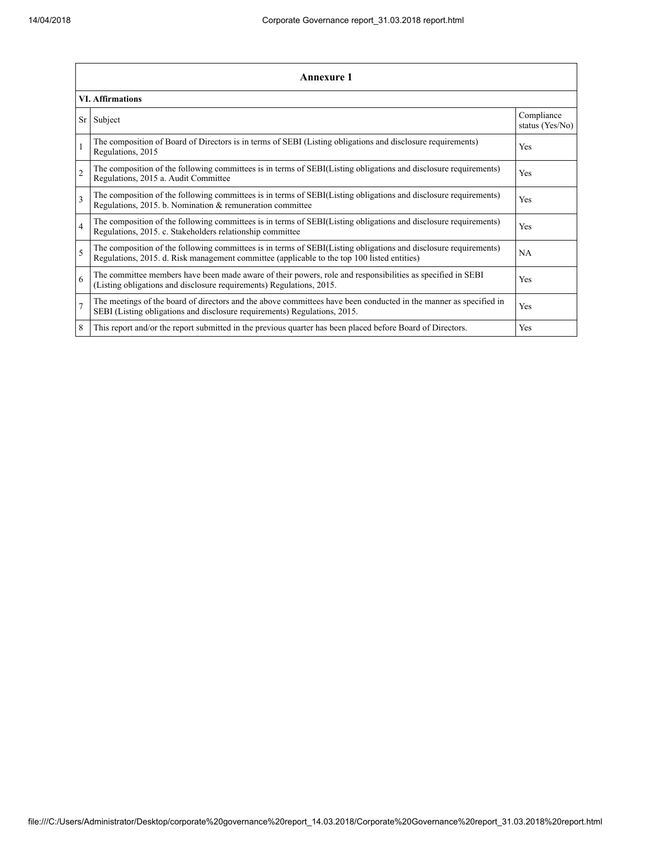|                | <b>Annexure 1</b>                                                                                                                                                                                               |                               |  |  |
|----------------|-----------------------------------------------------------------------------------------------------------------------------------------------------------------------------------------------------------------|-------------------------------|--|--|
|                | <b>VI. Affirmations</b>                                                                                                                                                                                         |                               |  |  |
| Sr             | Subject                                                                                                                                                                                                         | Compliance<br>status (Yes/No) |  |  |
|                | The composition of Board of Directors is in terms of SEBI (Listing obligations and disclosure requirements)<br>Regulations, 2015                                                                                | Yes                           |  |  |
| $\overline{2}$ | The composition of the following committees is in terms of SEBI(Listing obligations and disclosure requirements)<br>Regulations, 2015 a. Audit Committee                                                        | Yes                           |  |  |
| 3              | The composition of the following committees is in terms of SEBI(Listing obligations and disclosure requirements)<br>Regulations, 2015. b. Nomination & remuneration committee                                   | <b>Yes</b>                    |  |  |
| $\overline{4}$ | The composition of the following committees is in terms of SEBI(Listing obligations and disclosure requirements)<br>Regulations, 2015. c. Stakeholders relationship committee                                   | Yes                           |  |  |
| 5              | The composition of the following committees is in terms of SEBI(Listing obligations and disclosure requirements)<br>Regulations, 2015. d. Risk management committee (applicable to the top 100 listed entities) | <b>NA</b>                     |  |  |
| 6              | The committee members have been made aware of their powers, role and responsibilities as specified in SEBI<br>(Listing obligations and disclosure requirements) Regulations, 2015.                              | Yes                           |  |  |
| $\overline{7}$ | The meetings of the board of directors and the above committees have been conducted in the manner as specified in<br>SEBI (Listing obligations and disclosure requirements) Regulations, 2015.                  | Yes                           |  |  |
| 8              | This report and/or the report submitted in the previous quarter has been placed before Board of Directors.                                                                                                      | Yes                           |  |  |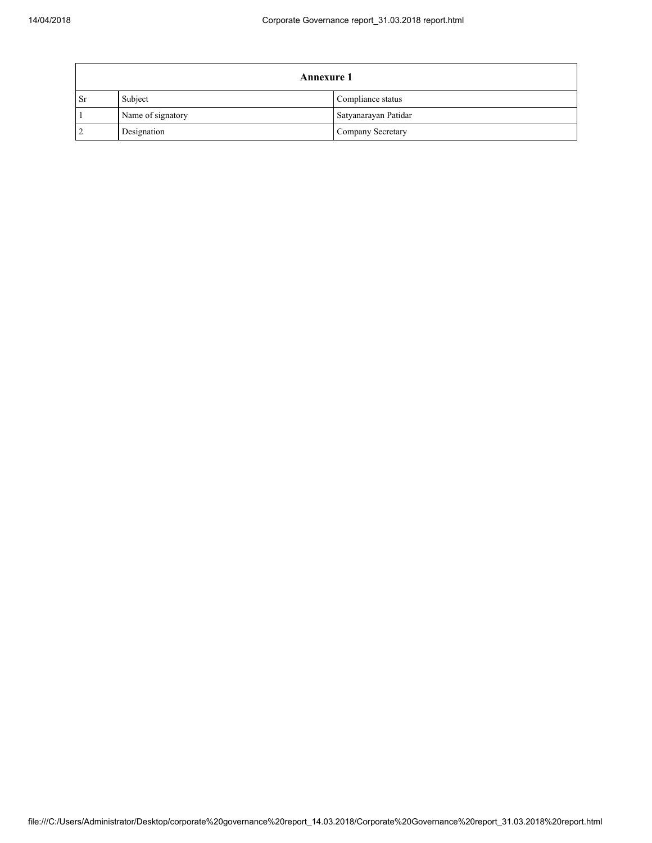| <b>Annexure 1</b> |                   |                      |  |
|-------------------|-------------------|----------------------|--|
| <b>Sr</b>         | Subject           | Compliance status    |  |
|                   | Name of signatory | Satyanarayan Patidar |  |
|                   | Designation       | Company Secretary    |  |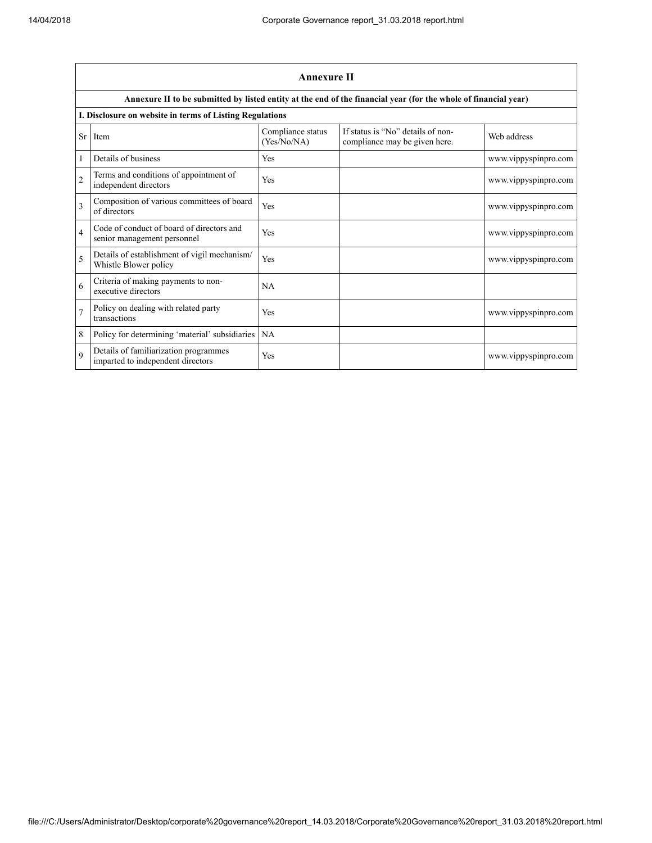|                         | Annexure II                                                                |                                  |                                                                                                                 |                      |  |
|-------------------------|----------------------------------------------------------------------------|----------------------------------|-----------------------------------------------------------------------------------------------------------------|----------------------|--|
|                         |                                                                            |                                  | Annexure II to be submitted by listed entity at the end of the financial year (for the whole of financial year) |                      |  |
|                         | I. Disclosure on website in terms of Listing Regulations                   |                                  |                                                                                                                 |                      |  |
| <b>Sr</b>               | Item                                                                       | Compliance status<br>(Yes/No/NA) | If status is "No" details of non-<br>compliance may be given here.                                              | Web address          |  |
|                         | Details of business                                                        | Yes                              |                                                                                                                 | www.vippyspinpro.com |  |
| $\overline{c}$          | Terms and conditions of appointment of<br>independent directors            | Yes                              |                                                                                                                 | www.vippyspinpro.com |  |
| $\overline{\mathbf{3}}$ | Composition of various committees of board<br>of directors                 | Yes                              |                                                                                                                 | www.vippyspinpro.com |  |
| $\overline{4}$          | Code of conduct of board of directors and<br>senior management personnel   | Yes                              |                                                                                                                 | www.vippyspinpro.com |  |
| 5                       | Details of establishment of vigil mechanism/<br>Whistle Blower policy      | Yes                              |                                                                                                                 | www.vippyspinpro.com |  |
| 6                       | Criteria of making payments to non-<br>executive directors                 | NA                               |                                                                                                                 |                      |  |
| $\overline{7}$          | Policy on dealing with related party<br>transactions                       | Yes                              |                                                                                                                 | www.vippyspinpro.com |  |
| 8                       | Policy for determining 'material' subsidiaries                             | <b>NA</b>                        |                                                                                                                 |                      |  |
| $\Omega$                | Details of familiarization programmes<br>imparted to independent directors | Yes                              |                                                                                                                 | www.vippyspinpro.com |  |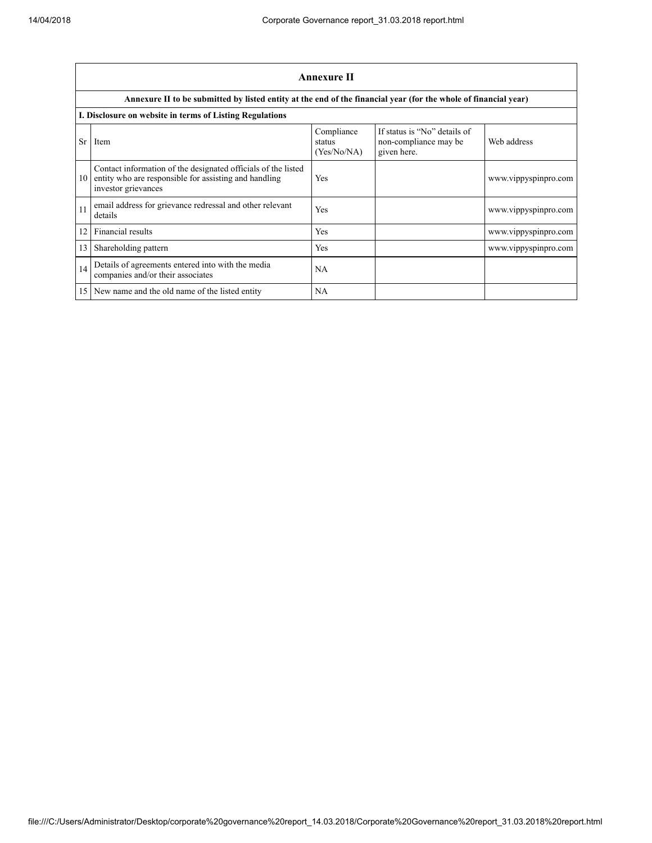|                 | <b>Annexure II</b>                                                                                                                            |                                     |                                                                      |                      |  |
|-----------------|-----------------------------------------------------------------------------------------------------------------------------------------------|-------------------------------------|----------------------------------------------------------------------|----------------------|--|
|                 | Annexure II to be submitted by listed entity at the end of the financial year (for the whole of financial year)                               |                                     |                                                                      |                      |  |
|                 | I. Disclosure on website in terms of Listing Regulations                                                                                      |                                     |                                                                      |                      |  |
| <b>Sr</b>       | Item                                                                                                                                          | Compliance<br>status<br>(Yes/No/NA) | If status is "No" details of<br>non-compliance may be<br>given here. | Web address          |  |
| 10              | Contact information of the designated officials of the listed<br>entity who are responsible for assisting and handling<br>investor grievances | Yes                                 |                                                                      | www.vippyspinpro.com |  |
| 11              | email address for grievance redressal and other relevant<br>details                                                                           | Yes                                 |                                                                      | www.vippyspinpro.com |  |
| 12              | Financial results                                                                                                                             | Yes                                 |                                                                      | www.vippyspinpro.com |  |
| 13              | Shareholding pattern                                                                                                                          | Yes                                 |                                                                      | www.vippyspinpro.com |  |
| 14              | Details of agreements entered into with the media<br>companies and/or their associates                                                        | NA                                  |                                                                      |                      |  |
| 15 <sup>1</sup> | New name and the old name of the listed entity                                                                                                | NA                                  |                                                                      |                      |  |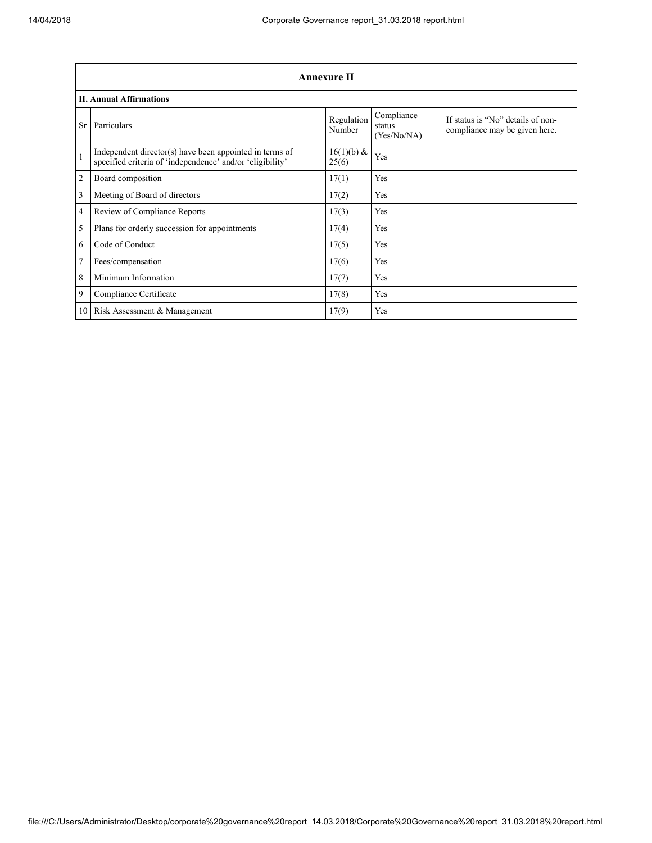|                | <b>Annexure II</b>                                                                                                   |                      |                                     |                                                                    |  |
|----------------|----------------------------------------------------------------------------------------------------------------------|----------------------|-------------------------------------|--------------------------------------------------------------------|--|
|                | <b>II. Annual Affirmations</b>                                                                                       |                      |                                     |                                                                    |  |
| <b>Sr</b>      | Particulars                                                                                                          | Regulation<br>Number | Compliance<br>status<br>(Yes/No/NA) | If status is "No" details of non-<br>compliance may be given here. |  |
| $\mathbf{1}$   | Independent director(s) have been appointed in terms of<br>specified criteria of 'independence' and/or 'eligibility' | 16(1)(b) &<br>25(6)  | Yes                                 |                                                                    |  |
| $\overline{c}$ | Board composition                                                                                                    | 17(1)                | Yes                                 |                                                                    |  |
| 3              | Meeting of Board of directors                                                                                        | 17(2)                | Yes                                 |                                                                    |  |
| 4              | Review of Compliance Reports                                                                                         | 17(3)                | Yes                                 |                                                                    |  |
| 5              | Plans for orderly succession for appointments                                                                        | 17(4)                | Yes                                 |                                                                    |  |
| 6              | Code of Conduct                                                                                                      | 17(5)                | Yes                                 |                                                                    |  |
| 7              | Fees/compensation                                                                                                    | 17(6)                | Yes                                 |                                                                    |  |
| 8              | Minimum Information                                                                                                  | 17(7)                | Yes                                 |                                                                    |  |
| 9              | Compliance Certificate                                                                                               | 17(8)                | Yes                                 |                                                                    |  |
| 10             | Risk Assessment & Management                                                                                         | 17(9)                | Yes                                 |                                                                    |  |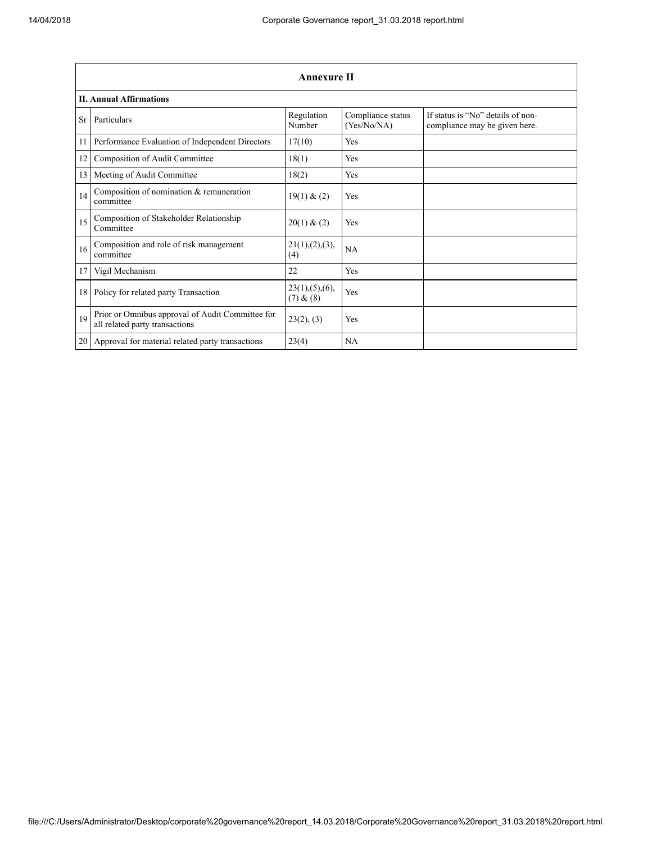|           | <b>Annexure II</b>                                                                 |                               |                                  |                                                                    |  |
|-----------|------------------------------------------------------------------------------------|-------------------------------|----------------------------------|--------------------------------------------------------------------|--|
|           | <b>II. Annual Affirmations</b>                                                     |                               |                                  |                                                                    |  |
| <b>Sr</b> | Particulars                                                                        | Regulation<br>Number          | Compliance status<br>(Yes/No/NA) | If status is "No" details of non-<br>compliance may be given here. |  |
| 11        | Performance Evaluation of Independent Directors                                    | 17(10)                        | <b>Yes</b>                       |                                                                    |  |
| 12        | Composition of Audit Committee                                                     | 18(1)                         | Yes                              |                                                                    |  |
| 13        | Meeting of Audit Committee                                                         | 18(2)                         | Yes                              |                                                                    |  |
| 14        | Composition of nomination $&$ remuneration<br>committee                            | 19(1) & (2)                   | Yes                              |                                                                    |  |
| 15        | Composition of Stakeholder Relationship<br>Committee                               | 20(1) & (2)                   | <b>Yes</b>                       |                                                                    |  |
| 16        | Composition and role of risk management<br>committee                               | 21(1), (2), (3),<br>(4)       | <b>NA</b>                        |                                                                    |  |
| 17        | Vigil Mechanism                                                                    | 22                            | Yes                              |                                                                    |  |
| 18        | Policy for related party Transaction                                               | 23(1), (5), (6),<br>(7) & (8) | Yes                              |                                                                    |  |
| 19        | Prior or Omnibus approval of Audit Committee for<br>all related party transactions | 23(2), (3)                    | <b>Yes</b>                       |                                                                    |  |
| 20        | Approval for material related party transactions                                   | 23(4)                         | NA                               |                                                                    |  |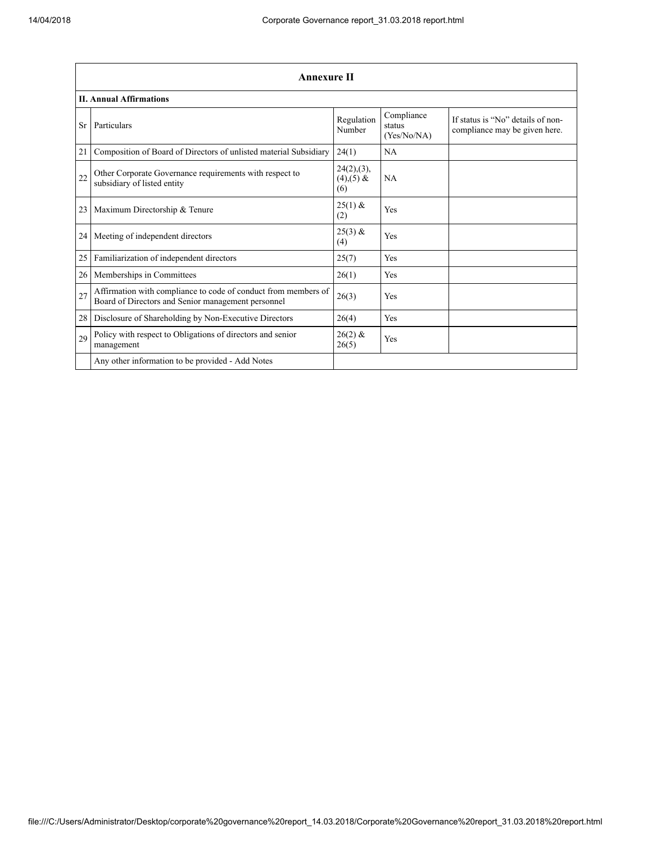|           | <b>Annexure II</b>                                                                                                   |                                      |                                     |                                                                    |
|-----------|----------------------------------------------------------------------------------------------------------------------|--------------------------------------|-------------------------------------|--------------------------------------------------------------------|
|           | <b>II. Annual Affirmations</b>                                                                                       |                                      |                                     |                                                                    |
| <b>Sr</b> | Particulars                                                                                                          | Regulation<br>Number                 | Compliance<br>status<br>(Yes/No/NA) | If status is "No" details of non-<br>compliance may be given here. |
| 21        | Composition of Board of Directors of unlisted material Subsidiary                                                    | 24(1)                                | NA                                  |                                                                    |
| 22        | Other Corporate Governance requirements with respect to<br>subsidiary of listed entity                               | 24(2),(3),<br>$(4)$ , $(5)$ &<br>(6) | <b>NA</b>                           |                                                                    |
| 23        | Maximum Directorship & Tenure                                                                                        | $25(1)$ &<br>(2)                     | Yes                                 |                                                                    |
| 24        | Meeting of independent directors                                                                                     | $25(3)$ &<br>(4)                     | Yes                                 |                                                                    |
| 25        | Familiarization of independent directors                                                                             | 25(7)                                | Yes                                 |                                                                    |
| 26        | Memberships in Committees                                                                                            | 26(1)                                | Yes                                 |                                                                    |
| 27        | Affirmation with compliance to code of conduct from members of<br>Board of Directors and Senior management personnel | 26(3)                                | Yes                                 |                                                                    |
| 28        | Disclosure of Shareholding by Non-Executive Directors                                                                | 26(4)                                | Yes                                 |                                                                    |
| 29        | Policy with respect to Obligations of directors and senior<br>management                                             | $26(2)$ &<br>26(5)                   | Yes                                 |                                                                    |
|           | Any other information to be provided - Add Notes                                                                     |                                      |                                     |                                                                    |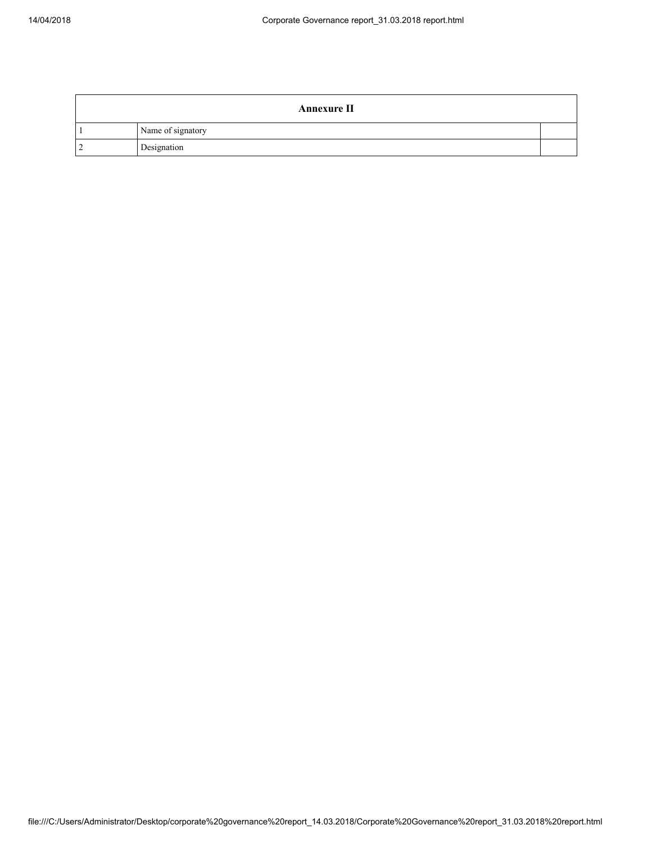|   | <b>Annexure II</b> |  |
|---|--------------------|--|
|   | Name of signatory  |  |
| ി | Designation        |  |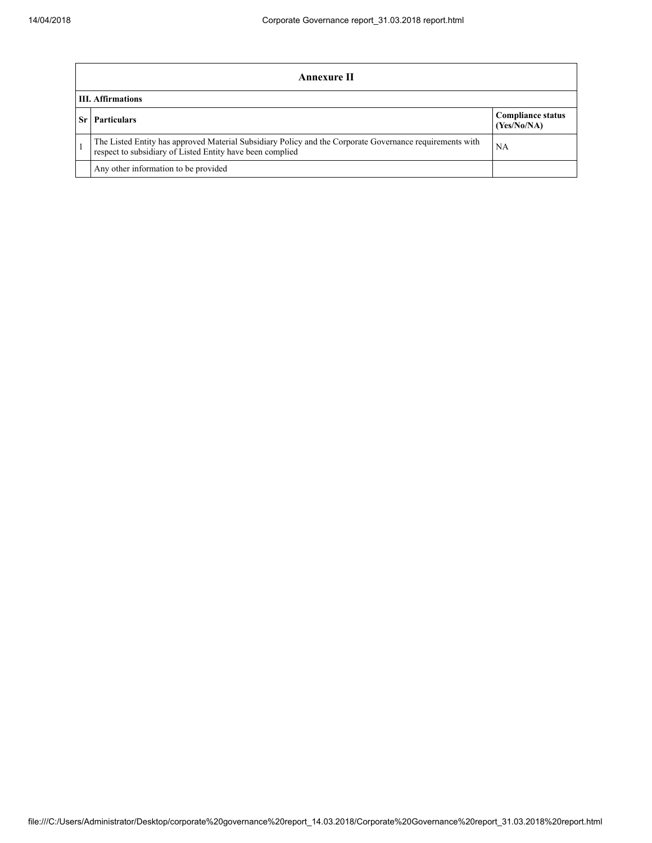| Annexure II                                                                                                                                                           |                                         |  |
|-----------------------------------------------------------------------------------------------------------------------------------------------------------------------|-----------------------------------------|--|
| <b>III.</b> Affirmations                                                                                                                                              |                                         |  |
| <b>Particulars</b>                                                                                                                                                    | <b>Compliance status</b><br>(Yes/No/NA) |  |
| The Listed Entity has approved Material Subsidiary Policy and the Corporate Governance requirements with<br>respect to subsidiary of Listed Entity have been complied | NA                                      |  |
| Any other information to be provided                                                                                                                                  |                                         |  |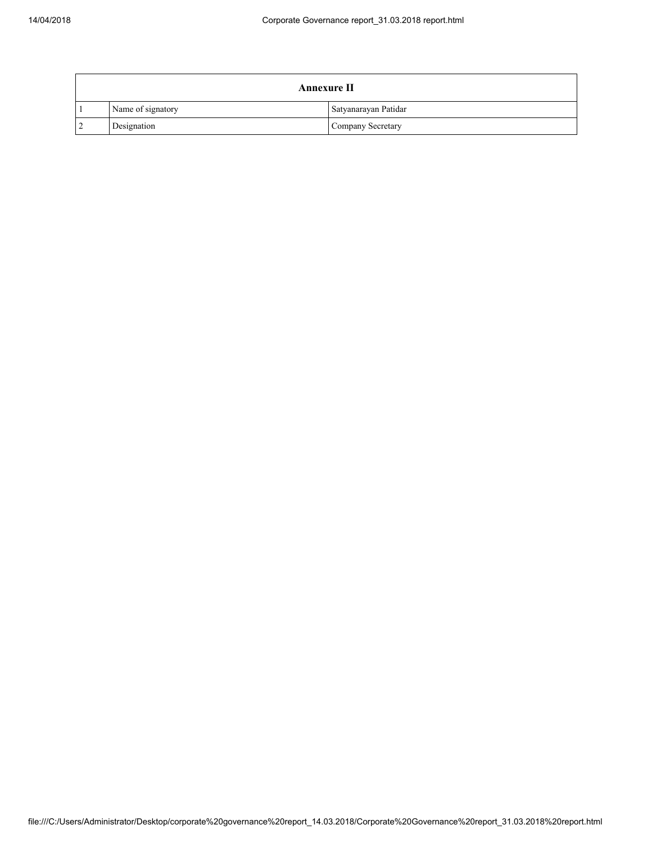|                | <b>Annexure II</b> |                      |  |
|----------------|--------------------|----------------------|--|
|                | Name of signatory  | Satyanarayan Patidar |  |
| $\overline{2}$ | Designation        | Company Secretary    |  |